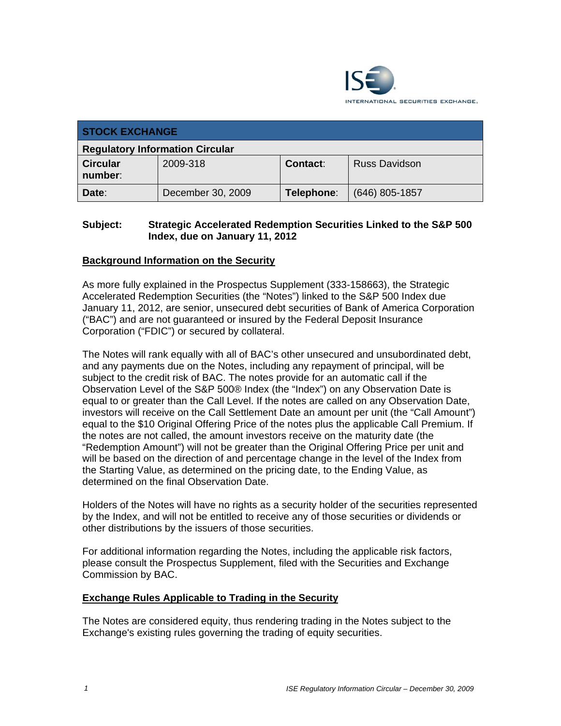

| <b>STOCK EXCHANGE</b>                  |                   |            |                      |  |  |
|----------------------------------------|-------------------|------------|----------------------|--|--|
| <b>Regulatory Information Circular</b> |                   |            |                      |  |  |
| <b>Circular</b><br>number:             | 2009-318          | Contact:   | <b>Russ Davidson</b> |  |  |
| Date:                                  | December 30, 2009 | Telephone: | $(646)$ 805-1857     |  |  |

# **Subject: Strategic Accelerated Redemption Securities Linked to the S&P 500 Index, due on January 11, 2012**

## **Background Information on the Security**

As more fully explained in the Prospectus Supplement (333-158663), the Strategic Accelerated Redemption Securities (the "Notes") linked to the S&P 500 Index due January 11, 2012, are senior, unsecured debt securities of Bank of America Corporation ("BAC") and are not guaranteed or insured by the Federal Deposit Insurance Corporation ("FDIC") or secured by collateral.

The Notes will rank equally with all of BAC's other unsecured and unsubordinated debt, and any payments due on the Notes, including any repayment of principal, will be subject to the credit risk of BAC. The notes provide for an automatic call if the Observation Level of the S&P 500® Index (the "Index") on any Observation Date is equal to or greater than the Call Level. If the notes are called on any Observation Date, investors will receive on the Call Settlement Date an amount per unit (the "Call Amount") equal to the \$10 Original Offering Price of the notes plus the applicable Call Premium. If the notes are not called, the amount investors receive on the maturity date (the "Redemption Amount") will not be greater than the Original Offering Price per unit and will be based on the direction of and percentage change in the level of the Index from the Starting Value, as determined on the pricing date, to the Ending Value, as determined on the final Observation Date.

Holders of the Notes will have no rights as a security holder of the securities represented by the Index, and will not be entitled to receive any of those securities or dividends or other distributions by the issuers of those securities.

For additional information regarding the Notes, including the applicable risk factors, please consult the Prospectus Supplement, filed with the Securities and Exchange Commission by BAC.

#### **Exchange Rules Applicable to Trading in the Security**

The Notes are considered equity, thus rendering trading in the Notes subject to the Exchange's existing rules governing the trading of equity securities.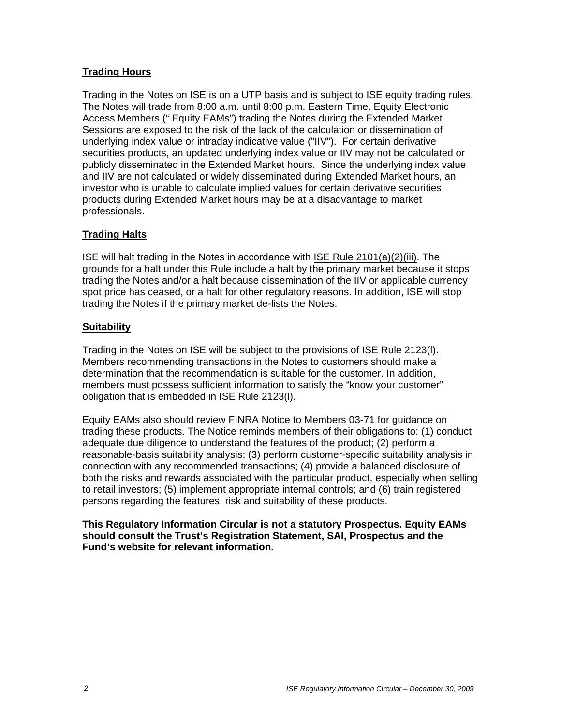# **Trading Hours**

Trading in the Notes on ISE is on a UTP basis and is subject to ISE equity trading rules. The Notes will trade from 8:00 a.m. until 8:00 p.m. Eastern Time. Equity Electronic Access Members (" Equity EAMs") trading the Notes during the Extended Market Sessions are exposed to the risk of the lack of the calculation or dissemination of underlying index value or intraday indicative value ("IIV"). For certain derivative securities products, an updated underlying index value or IIV may not be calculated or publicly disseminated in the Extended Market hours. Since the underlying index value and IIV are not calculated or widely disseminated during Extended Market hours, an investor who is unable to calculate implied values for certain derivative securities products during Extended Market hours may be at a disadvantage to market professionals.

## **Trading Halts**

ISE will halt trading in the Notes in accordance with ISE Rule 2101(a)(2)(iii). The grounds for a halt under this Rule include a halt by the primary market because it stops trading the Notes and/or a halt because dissemination of the IIV or applicable currency spot price has ceased, or a halt for other regulatory reasons. In addition, ISE will stop trading the Notes if the primary market de-lists the Notes.

## **Suitability**

Trading in the Notes on ISE will be subject to the provisions of ISE Rule 2123(l). Members recommending transactions in the Notes to customers should make a determination that the recommendation is suitable for the customer. In addition, members must possess sufficient information to satisfy the "know your customer" obligation that is embedded in ISE Rule 2123(l).

Equity EAMs also should review FINRA Notice to Members 03-71 for guidance on trading these products. The Notice reminds members of their obligations to: (1) conduct adequate due diligence to understand the features of the product; (2) perform a reasonable-basis suitability analysis; (3) perform customer-specific suitability analysis in connection with any recommended transactions; (4) provide a balanced disclosure of both the risks and rewards associated with the particular product, especially when selling to retail investors; (5) implement appropriate internal controls; and (6) train registered persons regarding the features, risk and suitability of these products.

**This Regulatory Information Circular is not a statutory Prospectus. Equity EAMs should consult the Trust's Registration Statement, SAI, Prospectus and the Fund's website for relevant information.**